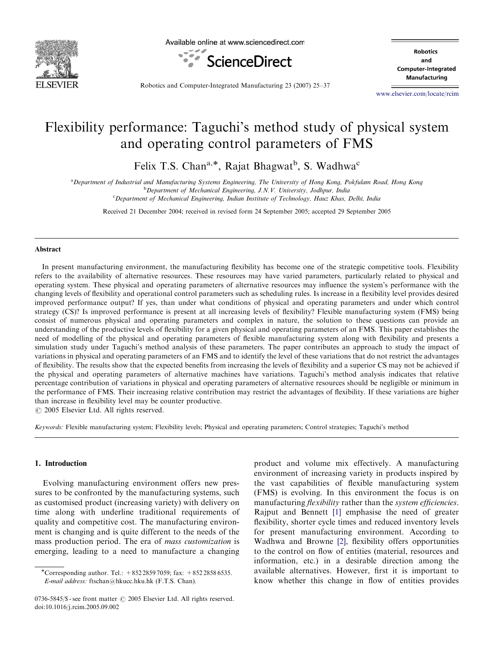

Available online at www.sciencedirect.com



**Robotics** and **Computer-Integrated** Manufacturing

Robotics and Computer-Integrated Manufacturing 23 (2007) 25–37

<www.elsevier.com/locate/rcim>

## Flexibility performance: Taguchi's method study of physical system and operating control parameters of FMS

Felix T.S. Chan<sup>a,\*</sup>, Rajat Bhagwat<sup>b</sup>, S. Wadhwa<sup>c</sup>

<sup>a</sup> Department of Industrial and Manufacturing Systems Engineering, The University of Hong Kong, Pokfulam Road, Hong Kong

<sup>b</sup>Department of Mechanical Engineering, J.N.V. University, Jodhpur, India

<sup>c</sup>Department of Mechanical Engineering, Indian Institute of Technology, Hauz Khas, Delhi, India

Received 21 December 2004; received in revised form 24 September 2005; accepted 29 September 2005

#### Abstract

In present manufacturing environment, the manufacturing flexibility has become one of the strategic competitive tools. Flexibility refers to the availability of alternative resources. These resources may have varied parameters, particularly related to physical and operating system. These physical and operating parameters of alternative resources may influence the system's performance with the changing levels of flexibility and operational control parameters such as scheduling rules. Is increase in a flexibility level provides desired improved performance output? If yes, than under what conditions of physical and operating parameters and under which control strategy (CS)? Is improved performance is present at all increasing levels of flexibility? Flexible manufacturing system (FMS) being consist of numerous physical and operating parameters and complex in nature, the solution to these questions can provide an understanding of the productive levels of flexibility for a given physical and operating parameters of an FMS. This paper establishes the need of modelling of the physical and operating parameters of flexible manufacturing system along with flexibility and presents a simulation study under Taguchi's method analysis of these parameters. The paper contributes an approach to study the impact of variations in physical and operating parameters of an FMS and to identify the level of these variations that do not restrict the advantages of flexibility. The results show that the expected benefits from increasing the levels of flexibility and a superior CS may not be achieved if the physical and operating parameters of alternative machines have variations. Taguchi's method analysis indicates that relative percentage contribution of variations in physical and operating parameters of alternative resources should be negligible or minimum in the performance of FMS. Their increasing relative contribution may restrict the advantages of flexibility. If these variations are higher than increase in flexibility level may be counter productive.

 $\odot$  2005 Elsevier Ltd. All rights reserved.

Keywords: Flexible manufacturing system; Flexibility levels; Physical and operating parameters; Control strategies; Taguchi's method

#### 1. Introduction

Evolving manufacturing environment offers new pressures to be confronted by the manufacturing systems, such as customised product (increasing variety) with delivery on time along with underline traditional requirements of quality and competitive cost. The manufacturing environment is changing and is quite different to the needs of the mass production period. The era of mass customization is emerging, leading to a need to manufacture a changing

product and volume mix effectively. A manufacturing environment of increasing variety in products inspired by the vast capabilities of flexible manufacturing system (FMS) is evolving. In this environment the focus is on manufacturing *flexibility* rather than the *system efficiencies*. Rajput and Bennett [\[1\]](#page--1-0) emphasise the need of greater flexibility, shorter cycle times and reduced inventory levels for present manufacturing environment. According to Wadhwa and Browne [\[2\]](#page--1-0), flexibility offers opportunities to the control on flow of entities (material, resources and information, etc.) in a desirable direction among the available alternatives. However, first it is important to know whether this change in flow of entities provides

<sup>\*</sup>Corresponding author. Tel.:  $+85228597059$ ; fax:  $+85228586535$ . E-mail address: ftschan@hkucc.hku.hk (F.T.S. Chan).

<sup>0736-5845/\$ -</sup> see front matter  $\odot$  2005 Elsevier Ltd. All rights reserved. doi:10.1016/j.rcim.2005.09.002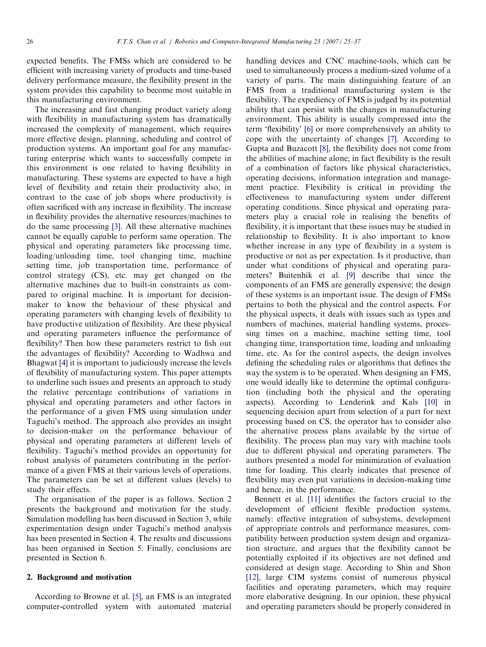expected benefits. The FMSs which are considered to be efficient with increasing variety of products and time-based delivery performance measure, the flexibility present in the system provides this capability to become most suitable in this manufacturing environment.

The increasing and fast changing product variety along with flexibility in manufacturing system has dramatically increased the complexity of management, which requires more effective design, planning, scheduling and control of production systems. An important goal for any manufacturing enterprise which wants to successfully compete in this environment is one related to having flexibility in manufacturing. These systems are expected to have a high level of flexibility and retain their productivity also, in contrast to the case of job shops where productivity is often sacrificed with any increase in flexibility. The increase in flexibility provides the alternative resources/machines to do the same processing [\[3\].](#page--1-0) All these alternative machines cannot be equally capable to perform same operation. The physical and operating parameters like processing time, loading/unloading time, tool changing time, machine setting time, job transportation time, performance of control strategy (CS), etc. may get changed on the alternative machines due to built-in constraints as compared to original machine. It is important for decisionmaker to know the behaviour of these physical and operating parameters with changing levels of flexibility to have productive utilization of flexibility. Are these physical and operating parameters influence the performance of flexibility? Then how these parameters restrict to fish out the advantages of flexibility? According to Wadhwa and Bhagwat [\[4\]](#page--1-0) it is important to judiciously increase the levels of flexibility of manufacturing system. This paper attempts to underline such issues and presents an approach to study the relative percentage contributions of variations in physical and operating parameters and other factors in the performance of a given FMS using simulation under Taguchi's method. The approach also provides an insight to decision-maker on the performance behaviour of physical and operating parameters at different levels of flexibility. Taguchi's method provides an opportunity for robust analysis of parameters contributing in the performance of a given FMS at their various levels of operations. The parameters can be set at different values (levels) to study their effects.

The organisation of the paper is as follows. Section 2 presents the background and motivation for the study. Simulation modelling has been discussed in Section 3, while experimentation design under Taguchi's method analysis has been presented in Section 4. The results and discussions has been organised in Section 5. Finally, conclusions are presented in Section 6.

### 2. Background and motivation

According to Browne et al. [\[5\]](#page--1-0), an FMS is an integrated computer-controlled system with automated material handling devices and CNC machine-tools, which can be used to simultaneously process a medium-sized volume of a variety of parts. The main distinguishing feature of an FMS from a traditional manufacturing system is the flexibility. The expediency of FMS is judged by its potential ability that can persist with the changes in manufacturing environment. This ability is usually compressed into the term 'flexibility' [\[6\]](#page--1-0) or more comprehensively an ability to cope with the uncertainty of changes [\[7\]](#page--1-0). According to Gupta and Buzacott [\[8\],](#page--1-0) the flexibility does not come from the abilities of machine alone; in fact flexibility is the result of a combination of factors like physical characteristics, operating decisions, information integration and management practice. Flexibility is critical in providing the effectiveness to manufacturing system under different operating conditions. Since physical and operating parameters play a crucial role in realising the benefits of flexibility, it is important that these issues may be studied in relationship to flexibility. It is also important to know whether increase in any type of flexibility in a system is productive or not as per expectation. Is it productive, than under what conditions of physical and operating parameters? Buitenhik et al. [\[9\]](#page--1-0) describe that since the components of an FMS are generally expensive; the design of these systems is an important issue. The design of FMSs pertains to both the physical and the control aspects. For the physical aspects, it deals with issues such as types and numbers of machines, material handling systems, processing times on a machine, machine setting time, tool changing time, transportation time, loading and unloading time, etc. As for the control aspects, the design involves defining the scheduling rules or algorithms that defines the way the system is to be operated. When designing an FMS, one would ideally like to determine the optimal configuration (including both the physical and the operating aspects). According to Lenderink and Kals [\[10\]](#page--1-0) in sequencing decision apart from selection of a part for next processing based on CS, the operator has to consider also the alternative process plans available by the virtue of flexibility. The process plan may vary with machine tools due to different physical and operating parameters. The authors presented a model for minimization of evaluation time for loading. This clearly indicates that presence of flexibility may even put variations in decision-making time and hence, in the performance.

Bennett et al. [\[11\]](#page--1-0) identifies the factors crucial to the development of efficient flexible production systems, namely: effective integration of subsystems, development of appropriate controls and performance measures, compatibility between production system design and organization structure, and argues that the flexibility cannot be potentially exploited if its objectives are not defined and considered at design stage. According to Shin and Shon [\[12\]](#page--1-0), large CIM systems consist of numerous physical facilities and operating parameters, which may require more elaborative designing. In our opinion, these physical and operating parameters should be properly considered in